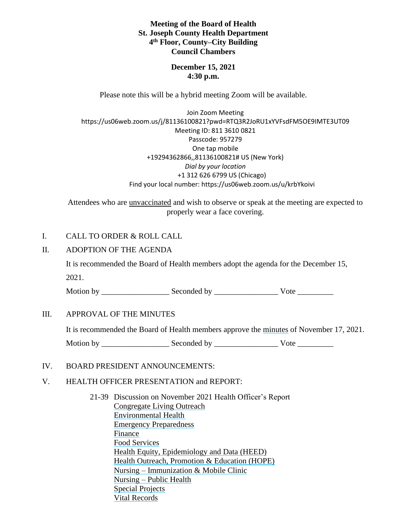**Meeting of the Board of Health St. Joseph County Health Department 4 th Floor, County–City Building Council Chambers**

> **December 15, 2021 4:30 p.m.**

Please note this will be a hybrid meeting Zoom will be available.

Join Zoom Meeting https://us06web.zoom.us/j/81136100821?pwd=RTQ3R2JoRU1xYVFsdFM5OE9IMTE3UT09 Meeting ID: 811 3610 0821 Passcode: 957279 One tap mobile +19294362866,,81136100821# US (New York) *Dial by your location* +1 312 626 6799 US (Chicago) Find your local number: https://us06web.zoom.us/u/krbYkoivi

Attendees who are unvaccinated and wish to observe or speak at the meeting are expected to properly wear a face covering.

#### I. CALL TO ORDER & ROLL CALL

## II. ADOPTION OF THE AGENDA

It is recommended the Board of Health members adopt the agenda for the December 15, 2021.

Motion by \_\_\_\_\_\_\_\_\_\_\_\_\_\_\_\_\_ Seconded by \_\_\_\_\_\_\_\_\_\_\_\_\_\_\_\_ Vote \_\_\_\_\_\_\_\_\_

#### III. APPROVAL OF THE MINUTES

It is recommended the Board of Health members approve the minutes of November 17, 2021.

Motion by \_\_\_\_\_\_\_\_\_\_\_\_\_\_\_\_\_ Seconded by \_\_\_\_\_\_\_\_\_\_\_\_\_\_\_\_ Vote \_\_\_\_\_\_\_\_\_

## IV. BOARD PRESIDENT ANNOUNCEMENTS:

## V. HEALTH OFFICER PRESENTATION and REPORT:

21-39 Discussion on November 2021 Health Officer's Report Congregate Living Outreach Environmental Health Emergency Preparedness Finance Food Services Health Equity, Epidemiology and Data (HEED) Health Outreach, Promotion & Education (HOPE) Nursing – Immunization & Mobile Clinic Nursing – Public Health Special Projects Vital Records